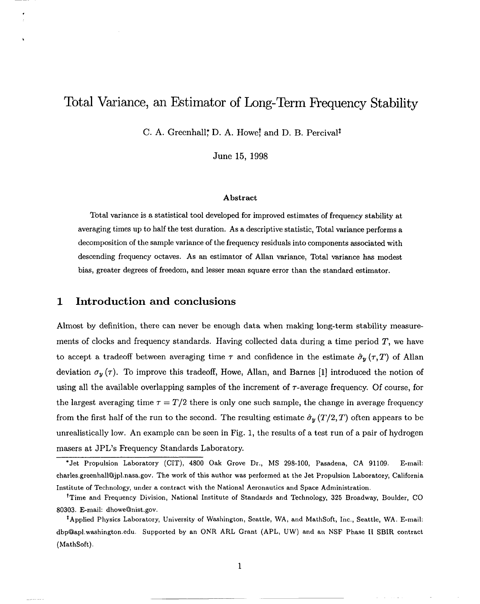# Total Variance, an Estimator of Long-Term Frequency Stability

C. A. Greenhall, D. A. Howe, and D. B. Percival<sup>†</sup>

June 15, 1998

#### Abstract

Total variance is a statistical tool developed for improved estimates of frequency stability at averaging times up to half the test duration. As a descriptive statistic, Total variance performs a decomposition of the sample variance of the frequency residuals into components associated with descending frequency octaves. As an estimator of Allan variance, Total variance has modest bias, greater degrees of freedom, and lessermean square error than the standard estimator.

#### **1 Introduction and conclusions**

,

b

Almost by definition, there can never be enough data when making long-term stability measurements of clocks and frequency standards. Having collected data during a time period  $T$ , we have to accept a tradeoff between averaging time  $\tau$  and confidence in the estimate  $\hat{\sigma}_y (\tau, T)$  of Allan deviation  $\sigma_y(\tau)$ . To improve this tradeoff, Howe, Allan, and Barnes [1] introduced the notion of using all the available overlapping samples of the increment of  $\tau$ -average frequency. Of course, for the largest averaging time  $\tau = T/2$  there is only one such sample, the change in average frequency from the first half of the run to the second. The resulting estimate  $\hat{\sigma}_y(T/2, T)$  often appears to be unrealistically low. An example can be seen in Fig. 1, the results of a test run of a pair of hydrogen masers at JPL's Frequency Standards Laboratory.

"Jet Propulsion Laboratory (CIT), 4800 Oak Grove Dr., MS 298-100, Pasadena, CA 91109. E-mail: charles.greenhall@jpl.nasa.gov. The work of this author was performed at the Jet Propulsion Laboratory, California Institute of Technology, under a contract with the National Aeronautics and Space Administration.

<sup>&</sup>lt;sup>†</sup>Time and Frequency Division, National Institute of Standards and Technology, 325 Broadway, Boulder, CO 80303. E-mail: dhowe@nist.gov.

<sup>&#</sup>x27;Applied Physics Laboratory, University of Washington, Seattle, WA, and MathSoft, Inc., Seattle, WA. E-mail: dbp@apl.Washington.edu. Supported by an ONR ARL Grant (APL, UW) and an NSF Phase II SBIR contract (MathSoft).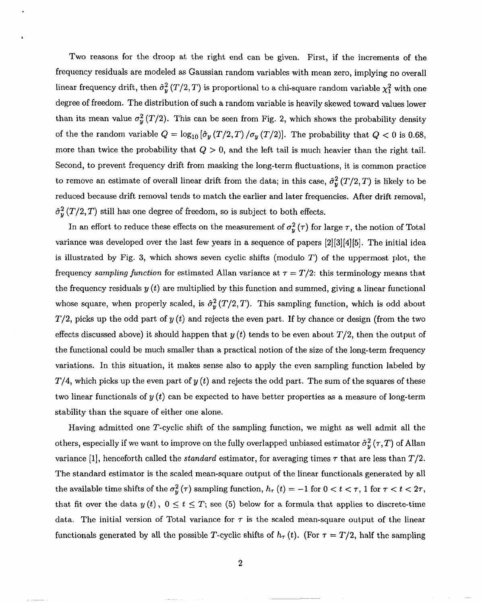Two reasons for the droop at the right end can be given. First, if the increments of the frequency residuals are modeled as Gaussian random variables with mean zero, implying no overall linear frequency drift, then  $\hat{\sigma}_{y}^{2}(T/2, T)$  is proportional to a chi-square random variable  $\chi_{1}^{2}$  with one degree of freedom. The distribution of such a random variable is heavily skewed toward values lower than its mean value  $\sigma_y^2(T/2)$ . This can be seen from Fig. 2, which shows the probability density of the the random variable  $Q = \log_{10} (\hat{\sigma}_y(T/2, T) / \sigma_y(T/2))$ . The probability that  $Q < 0$  is 0.68, more than twice the probability that  $Q > 0$ , and the left tail is much heavier than the right tail. Second, to prevent frequency drift from masking the long-term fluctuations, it is common practice to remove an estimate of overall linear drift from the data; in this case,  $\hat{\sigma}_{y}^{2}(T/2, T)$  is likely to be reduced because drift removal tends to match the earlier and later frequencies. After drift removal,  $\hat{\sigma}_{y}^{2}(T/2, T)$  still has one degree of freedom, so is subject to both effects.

In an effort to reduce these effects on the measurement of  $\sigma_y^2(\tau)$  for large  $\tau$ , the notion of Total variance was developed over the last few years in a sequence of papers [2][3][4][5]. The initial idea is illustrated by Fig. 3, which shows seven cyclic shifts (modulo *T)* of the uppermost plot, the frequency *sampling function* for estimated Allan variance at  $\tau = T/2$ : this terminology means that the frequency residuals  $y(t)$  are multiplied by this function and summed, giving a linear functional whose square, when properly scaled, is  $\hat{\sigma}_{y}^{2}(T/2, T)$ . This sampling function, which is odd about  $T/2$ , picks up the odd part of  $y(t)$  and rejects the even part. If by chance or design (from the two effects discussed above) it should happen that  $y(t)$  tends to be even about  $T/2$ , then the output of the functional could be much smaller than a practical notion of the size of the long-term frequency variations. In this situation, it makes sense also to apply the even sampling function labeled by  $T/4$ , which picks up the even part of  $y(t)$  and rejects the odd part. The sum of the squares of these two linear functionals of  $y(t)$  can be expected to have better properties as a measure of long-term stability than the square of either one alone.

Having admitted one T-cyclic shift of the sampling function, we might as well admit all the others, especially if we want to improve on the fully overlapped unbiased estimator  $\hat{\sigma}_y^2({\tau}, T)$  of Allan variance [1], henceforth called the *standard* estimator, for averaging times  $\tau$  that are less than  $T/2$ . The standard estimator is the scaled mean-square output of the linear functionals generated by all the available time shifts of the  $\sigma_y^2(\tau)$  sampling function,  $h_{\tau} (t) = -1$  for  $0 < t < \tau$ , 1 for  $\tau < t < 2\tau$ , that fit over the data  $y(t)$ ,  $0 \le t \le T$ ; see (5) below for a formula that applies to discrete-time data. The initial version of Total variance for  $\tau$  is the scaled mean-square output of the linear functionals generated by all the possible T-cyclic shifts of  $h<sub>\tau</sub>(t)$ . (For  $\tau = T/2$ , half the sampling

2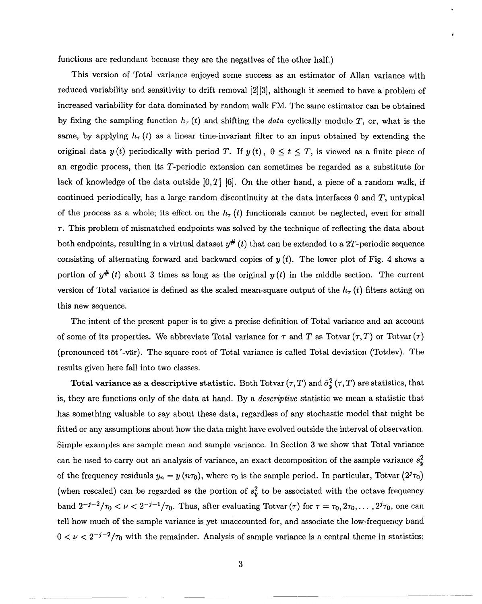functions are redundant because they are the negatives of the other half.)

This version of Total variance enjoyed some success as an estimator of Allan variance with reduced variability and sensitivity to drift removal [2][3], although it seemed to have a problem of increased variability for data dominated by random walk FM. The same estimator can be obtained by fixing the sampling function  $h_r(t)$  and shifting the *data* cyclically modulo T, or, what is the same, by applying  $h_{\tau}(t)$  as a linear time-invariant filter to an input obtained by extending the original data  $y(t)$  periodically with period T. If  $y(t)$ ,  $0 \le t \le T$ , is viewed as a finite piece of an ergodic process, then its Z'-periodic extension can sometimes be regarded as a substitute for lack of knowledge of the data outside  $[0, T]$  [6]. On the other hand, a piece of a random walk, if continued periodically, has a large random discontinuity at the data interfaces  $0$  and  $T$ , untypical of the process as a whole; its effect on the  $h_{\tau}(t)$  functionals cannot be neglected, even for small  $\tau$ . This problem of mismatched endpoints was solved by the technique of reflecting the data about both endpoints, resulting in a virtual dataset  $y^{\#}\left(t\right)$  that can be extended to a 2T-periodic sequence consisting of alternating forward and backward copies of  $y(t)$ . The lower plot of Fig. 4 shows a portion of  $y^{\#}(t)$  about 3 times as long as the original  $y(t)$  in the middle section. The current version of Total variance is defined as the scaled mean-square output of the  $h<sub>\tau</sub>$  (t) filters acting on this new sequence.

The intent of the present paper is to give a precise definition of Total variance and an account of some of its properties. We abbreviate Total variance for  $\tau$  and T as Totvar  $(\tau, T)$  or Totvar  $(\tau)$ (pronounced tōt '-vär). The square root of Total variance is called Total deviation (Totdev). The results given here fall into two classes.

Total variance as a descriptive statistic. Both Totvar  $(\tau, T)$  and  $\hat{\sigma}_y^2(\tau, T)$  are statistics, that is, they are functions only of the data at hand, By a descriptive statistic we mean a statistic that has something valuable to say about these data, regardless of any stochastic model that might be fitted or any assumptions about how the data might have evolved outside the interval of observation. Simple examples are sample mean and sample variance. In Section 3 we show that Total variance can be used to carry out an analysis of variance, an exact decomposition of the sample variance  $s_y^2$ of the frequency residuals  $y_n = y(n\tau_0)$ , where  $\tau_0$  is the sample period. In particular, Totvar  $(2^j\tau_0)$ (when rescaled) can be regarded as the portion of  $s_y^2$  to be associated with the octave frequency band  $2^{-j-2}/\tau_0 < \nu < 2^{-j-1}/\tau_0$ . Thus, after evaluating Totvar ( $\tau$ ) for  $\tau = \tau_0, 2\tau_0, \ldots, 2^j\tau_0$ , one can tell how much of the sample variance is yet unaccounted for, and associate the low-frequency band  $0 < \nu < 2^{-j-2}/\tau_0$  with the remainder. Analysis of sample variance is a central theme in statistics;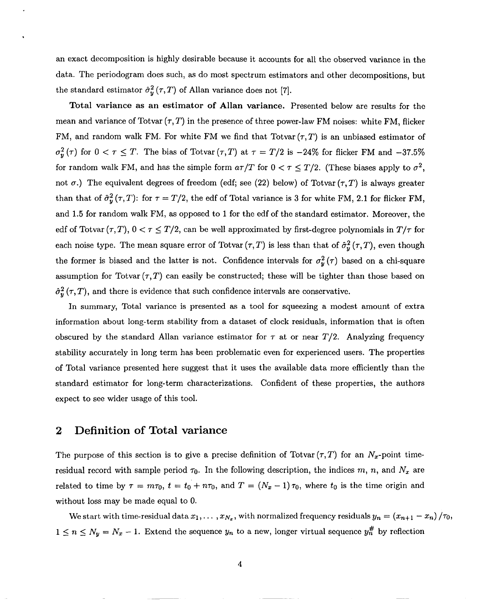an exact decomposition is highly desirable because it accounts for all the observed variance in the data. The periodogram does such, as do most spectrum estimators and other decompositions, but the standard estimator  $\hat{\sigma}_y^2(r, T)$  of Allan variance does not [7].

Total variance as an estimator of Allan variance. Presented below are results for the mean and variance of Totvar  $(\tau, T)$  in the presence of three power-law FM noises: white FM, flicker FM, and random walk FM. For white FM we find that Totvar  $(\tau, T)$  is an unbiased estimator of  $\sigma_y^2(\tau)$  for  $0 < \tau \leq T$ . The bias of Totvar  $(\tau, T)$  at  $\tau = T/2$  is  $-24\%$  for flicker FM and  $-37.5\%$ for random walk FM, and has the simple form  $a\tau/T$  for  $0 < \tau \leq T/2$ . (These biases apply to  $\sigma^2$ , not  $\sigma$ .) The equivalent degrees of freedom (edf; see (22) below) of Totvar  $(\tau, T)$  is always greater than that of  $\hat{\sigma}_y^2(\tau,T)$ : for  $\tau = T/2$ , the edf of Total variance is 3 for white FM, 2.1 for flicker FM, and 1.5 for random walk FM, as opposed to 1 for the edf of the standard estimator. Moreover, the edf of Totvar  $(\tau, T)$ ,  $0 < \tau \leq T/2$ , can be well approximated by first-degree polynomials in  $T/\tau$  for each noise type. The mean square error of Totvar  $(\tau, T)$  is less than that of  $\hat{\sigma}_{y}^{2}(\tau, T)$ , even though the former is biased and the latter is not. Confidence intervals for  $\sigma_y^2(\tau)$  based on a chi-square assumption for Totvar  $(\tau, T)$  can easily be constructed; these will be tighter than those based on  $\hat{\sigma}_{y}^{2}(\tau, T)$ , and there is evidence that such confidence intervals are conservative.

In summary, Total variance is presented as a tool for squeezing a modest amount of extra information about long-term stability from a dataset of clock residuals, information that is often obscured by the standard Allan variance estimator for  $\tau$  at or near  $T/2$ . Analyzing frequency stabllity accurately in long term has been problematic even for experienced users. The properties of Total variance presented here suggest that it uses the available data more efficiently than the standard estimator for long-term characterizations. Confident of these properties, the authors expect to see wider usage of this tool.

### **2 Definition of Total variance**

The purpose of this section is to give a precise definition of Totvar  $(\tau, T)$  for an  $N_x$ -point timeresidual record with sample period  $\tau_0$ . In the following description, the indices m, n, and  $N_x$  are related to time by  $\tau = m\tau_0$ ,  $t = t_0 + n\tau_0$ , and  $T = (N_x - 1)\tau_0$ , where  $t_0$  is the time origin and without loss may be made equal to O.

We start with time-residual data  $x_1, \ldots, x_{N_x}$ , with normalized frequency residuals  $y_n = (x_{n+1} - x_n) / \tau_0$ ,  $1 \leq n \leq N_y = N_x - 1$ . Extend the sequence  $y_n$  to a new, longer virtual sequence  $y_n^{\#}$  by reflection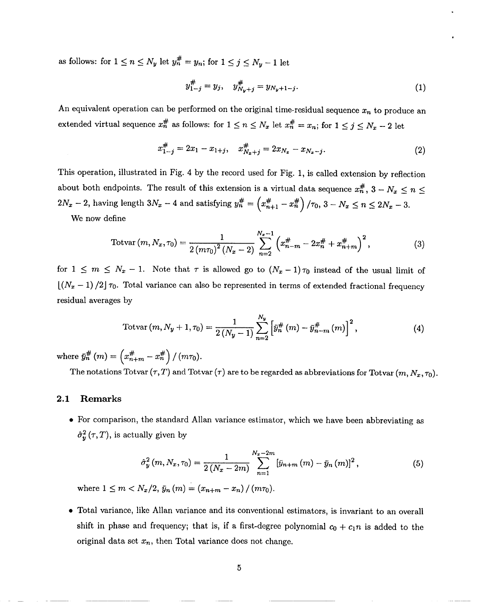as follows: for  $1 \le n \le N_y$  let  $y_n^{\#} = y_n$ ; for  $1 \le j \le N_y - 1$  let

$$
y_{1-j}^{\#} = y_j, \quad y_{N_y+j}^{\#} = y_{N_y+1-j}.
$$
 (1)

An equivalent operation can be performed on the original time-residual sequence  $x_n$  to produce an extended virtual sequence  $x_n^{\#}$  as follows: for  $1 \le n \le N_x$  let  $x_n^{\#} = x_n$ ; for  $1 \le j \le N_x - 2$  let

$$
x_{1-j}^{\#} = 2x_1 - x_{1+j}, \quad x_{N_x+j}^{\#} = 2x_{N_x} - x_{N_x-j}.
$$
 (2)

This operation, illustrated in Fig. 4 by the record used for Fig. 1, is called extension by reflection about both endpoints. The result of this extension is a virtual data sequence  $x_n^{\#}$ ,  $3 - N_x \le n \le$  $2N_x - 2$ , having length  $3N_x - 4$  and satisfying  $y_n^{\#} = \left(x_n^{\#}y_n^{\#}y_n^{\#}y_n^{\#}y_n^{\#}y_n^{\#}y_n^{\#}y_n^{\#}y_n^{\#}y_n^{\#}y_n^{\#}y_n^{\#}y_n^{\#}y_n^{\#}y_n^{\#}y_n^{\#}y_n^{\#}y_n^{\#}y_n^{\#}y_n^{\#}y_n^{\#}y_n^{\#}y_n^{\#}y_n^{\#}y_n^{\#}y_n^{\#}y_n^{\#}y$  $x_{n+1}^{\#} - x_n^{\#} \Big) / \tau_0$ ,  $3 - N_x \leq n \leq 2N$ 

We now define

Totvar 
$$
(m, N_x, \tau_0) = \frac{1}{2(m\tau_0)^2 (N_x - 2)} \sum_{n=2}^{N_x - 1} \left( x_{n-m}^{\#} - 2x_n^{\#} + x_{n+m}^{\#} \right)^2
$$
, (3)

for  $1 \leq m \leq N_x - 1$ . Note that  $\tau$  is allowed go to  $(N_x - 1) \tau_0$  instead of the usual limit of  $\lfloor (N_x - 1)/2 \rfloor \tau_0$ . Total variance can also be represented in terms of extended fractional frequency residual averages by

Totvar 
$$
(m, N_y + 1, \tau_0) = \frac{1}{2(N_y - 1)} \sum_{n=2}^{N_y} \left[ \tilde{y}_n^{\#}(m) - \bar{y}_{n-m}^{\#}(m) \right]^2
$$
, (4)

where  $\tilde{y}_n^m$   $(m) = \left(x_{n+m}^m - x_n^m\right) / (m\pi)$ 

The notations Totvar  $(\tau, T)$  and Totvar  $(\tau)$  are to be regarded as abbreviations for Totvar  $(m, N_x, \tau_0)$ .

#### 2.1 Remarks

● *For* comparison, the standard Allan variance estimator, which we have been abbreviating as  $\hat{\sigma}_{y}^{2}(\tau, T)$ , is actually given by

$$
\hat{\sigma}_y^2(m, N_x, \tau_0) = \frac{1}{2(N_x - 2m)} \sum_{n=1}^{N_x - 2m} \left[ \bar{y}_{n+m}(m) - \bar{y}_n(m) \right]^2, \tag{5}
$$

where  $1 \le m < N_x/2$ ,  $\bar{y}_n(m) = (x_{n+m} - x_n)/(m\tau_0)$ .

● Total variance, like Allan variance and its conventional estimators, is invariant to an overall shift in phase and frequency; that is, if a first-degree polynomial  $c_0 + c_1 n$  is added to the original data set  $x_n$ , then Total variance does not change.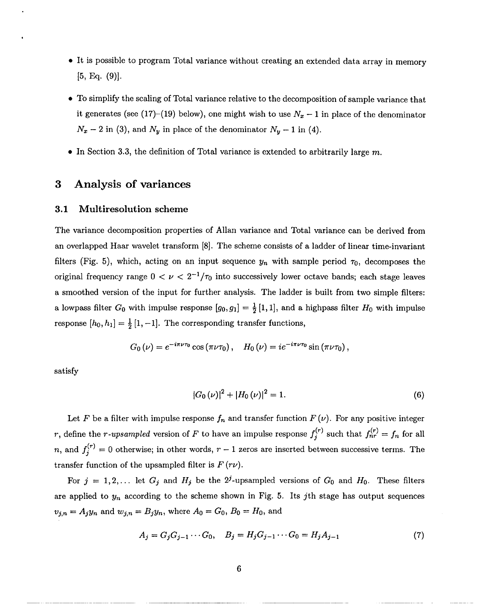- It is possible to program Total variance without creating an extended data array in memory  $[5, Eq. (9)].$
- To simplify the scaling of Total variance relative to the decomposition of sample variance that it generates (see (17)–(19) below), one might wish to use  $N_x-1$  in place of the denominator  $N_x - 2$  in (3), and  $N_y$  in place of the denominator  $N_y - 1$  in (4).
- $\bullet$  In Section 3.3, the definition of Total variance is extended to arbitrarily large m.

### **3 Analysis of variances**

#### 3.1 Multiresolution scheme

The variance decomposition properties of Allan variance and Total variance can be derived from an overlapped Haar wavelet transform [8]. The scheme consists of a ladder of linear time-invariant filters (Fig. 5), which, acting on an input sequence  $y_n$  with sample period  $\tau_0$ , decomposes the original frequency range  $0 < \nu < 2^{-1}/\tau_0$  into successively lower octave bands; each stage leaves a smoothed version of the input for further analysis. The ladder is built from two simple filters: a lowpass filter  $G_0$  with impulse response  $[g_0, g_1] = \frac{1}{2} [1, 1]$ , and a highpass filter  $H_0$  with impulse response  $[h_0, h_1] = \frac{1}{2} [1, -1]$ . The corresponding transfer functions,

$$
G_0(\nu) = e^{-i\pi\nu\tau_0}\cos\left(\pi\nu\tau_0\right), \quad H_0(\nu) = ie^{-i\pi\nu\tau_0}\sin\left(\pi\nu\tau_0\right),
$$

satisfy

,

$$
|G_0(\nu)|^2 + |H_0(\nu)|^2 = 1.
$$
\n(6)

Let F be a filter with impulse response  $f_n$  and transfer function  $F(\nu)$ . For any positive integer  $r$ , define the  $r$ -upsampled version of  $F$  to have an impulse response  $f_i^{(r)}$  such that  $f_{nr}^{(r)} = f_n$  for all *n*, and  $f_j^{(r)} = 0$  otherwise; in other words,  $r - 1$  zeros are inserted between successive terms. The transfer function of the upsampled filter is  $F(r\nu)$ .

For  $j = 1,2,...$  let  $G_j$  and  $H_j$  be the 2<sup>*j*</sup>-upsampled versions of  $G_0$  and  $H_0$ . These filters are applied to  $y_n$  according to the scheme shown in Fig. 5. Its jth stage has output sequences  $v_{j,n} = A_j y_n$  and  $w_{j,n} = B_j y_n$ , where  $A_0 = G_0$ ,  $B_0 = H_0$ , and

$$
A_j = G_j G_{j-1} \cdots G_0, \quad B_j = H_j G_{j-1} \cdots G_0 = H_j A_{j-1}
$$
\n<sup>(7)</sup>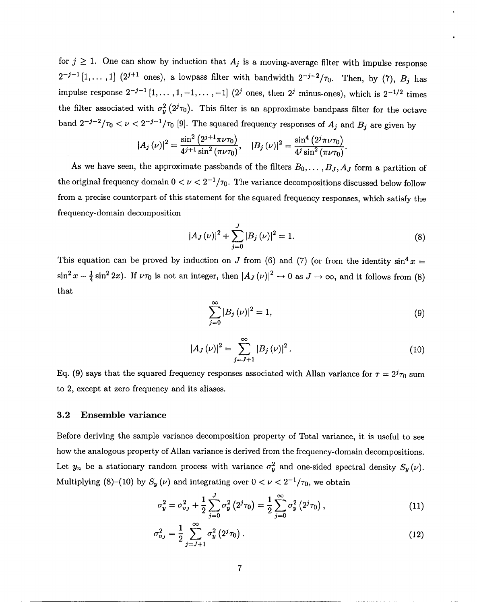for  $j \geq 1$ . One can show by induction that  $A_j$  is a moving-average filter with impulse response  $2^{-j-1}[1,\ldots,1]$   $(2^{j+1}$  ones), a lowpass filter with bandwidth  $2^{-j-2}/\tau_0$ . Then, by  $(7)$ ,  $B_j$  has impulse response  $2^{-j-1}$   $[1,\ldots,1,-1,\ldots,-1]$   $(2^j$  ones, then  $2^j$  minus-ones), which is  $2^{-1/2}$  times the filter associated with  $\sigma_y^2(2^j\tau_0)$ . This filter is an approximate bandpass filter for the octave band  $2^{-j-2}/\tau_0 < \nu < 2^{-j-1}/\tau_0$  [9]. The squared frequency responses of  $A_j$  and  $B_j$  are given by

$$
|A_j(\nu)|^2 = \frac{\sin^2\left(2^{j+1}\pi\nu\tau_0\right)}{4^{j+1}\sin^2\left(\pi\nu\tau_0\right)}, \quad |B_j(\nu)|^2 = \frac{\sin^4\left(2^j\pi\nu\tau_0\right)}{4^j\sin^2\left(\pi\nu\tau_0\right)}.
$$

As we have seen, the approximate passbands of the filters  $B_0, \ldots, B_J, A_J$  form a partition of the original frequency domain  $0 < \nu < 2^{-1}/\tau_0$ . The variance decompositions discussed below follow from a precise counterpart of this statement for the squared frequency responses, which satisfy the frequency-domain decomposition

$$
|A_J(\nu)|^2 + \sum_{j=0}^{J} |B_j(\nu)|^2 = 1.
$$
 (8)

This equation can be proved by induction on *J* from (6) and (7) (or from the identity  $\sin^4 x =$  $\sin^2 x - \frac{1}{4} \sin^2 2x$ . If  $\nu\tau_0$  is not an integer, then  $\left| A_J(\nu) \right|^2 \to 0$  as  $J \to \infty$ , and it follows from (8) that

$$
\sum_{j=0}^{\infty} |B_j(\nu)|^2 = 1,
$$
\n(9)

$$
|A_J(\nu)|^2 = \sum_{j=J+1}^{\infty} |B_j(\nu)|^2.
$$
 (10)

Eq. (9) says that the squared frequency responses associated with Allan variance for  $\tau = 2^{j} \tau_0$  sum to 2, except at zero frequency and its aliases.

#### 3.2 Ensemble variance

Before deriving the sample variance decomposition property of Total variance, it is useful to see how the analogous property of Allan variance is derived from the frequency-domain decompositions. Let  $y_n$  be a stationary random process with variance  $\sigma_y^2$  and one-sided spectral density  $S_y(\nu)$ . Multiplying (8)–(10) by  $S_y(\nu)$  and integrating over  $0 < \nu < 2^{-1}/\tau_0$ , we obtain

$$
\sigma_y^2 = \sigma_{v_J}^2 + \frac{1}{2} \sum_{j=0}^{J} \sigma_y^2 (2^j \tau_0) = \frac{1}{2} \sum_{j=0}^{\infty} \sigma_y^2 (2^j \tau_0), \qquad (11)
$$

$$
\sigma_{v_J}^2 = \frac{1}{2} \sum_{j=J+1}^{\infty} \sigma_y^2 (2^j \tau_0).
$$
 (12)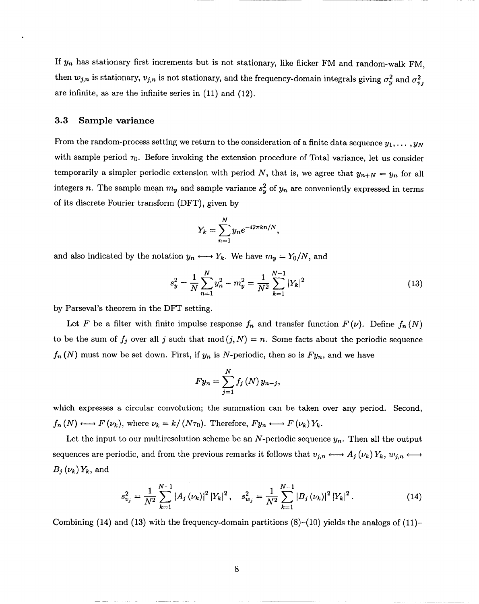If  $y_n$  has stationary first increments but is not stationary, like flicker FM and random-walk FM. then  $w_{j,n}$  is stationary,  $v_{j,n}$  is not stationary, and the frequency-domain integrals giving  $\sigma_y^2$  and  $\sigma_{v_j}^2$ are infinite, as are the infinite series in (11) and (12).

#### 3.3 Sample variance

From the random-process setting we return to the consideration of a finite data sequence  $y_1, \ldots, y_N$ with sample period  $\tau_0$ . Before invoking the extension procedure of Total variance, let us consider temporarily a simpler periodic extension with period N, that is, we agree that  $y_{n+N} = y_n$  for all integers n. The sample mean  $m_y$  and sample variance  $s_y^2$  of  $y_n$  are conveniently expressed in terms of its discrete Fourier transform (DFT), given by

$$
Y_k = \sum_{n=1}^N y_n e^{-i2\pi kn/N},
$$

and also indicated by the notation  $y_n \leftrightarrow Y_k$ . We have  $m_y = Y_0/N$ , and

$$
s_y^2 = \frac{1}{N} \sum_{n=1}^N y_n^2 - m_y^2 = \frac{1}{N^2} \sum_{k=1}^{N-1} |Y_k|^2
$$
 (13)

by Parseval's theorem in the DFT setting.

Let F be a filter with finite impulse response  $f_n$  and transfer function  $F(\nu)$ . Define  $f_n(N)$ to be the sum of  $f_j$  over all j such that mod  $(j, N) = n$ . Some facts about the periodic sequence  $f_n(N)$  must now be set down. First, if  $y_n$  is N-periodic, then so is  $Fy_n$ , and we have

$$
Fy_n=\sum_{j=1}^N f_j\left(N\right)y_{n-j},
$$

which expresses a circular convolution; the summation can be taken over any period. Second,  $f_n(N) \longleftrightarrow F(\nu_k)$ , where  $\nu_k = k/(N\tau_0)$ . Therefore,  $Fy_n \longleftrightarrow F(\nu_k)Y_k$ .

Let the input to our multiresolution scheme be an N-periodic sequence  $y_n$ . Then all the output sequences are periodic, and from the previous remarks it follows that  $v_{j,n} \longleftrightarrow A_j(\nu_k) Y_k$ ,  $w_{j,n} \longleftrightarrow$  $B_j(\nu_k) Y_k$ , and

$$
s_{v_j}^2 = \frac{1}{N^2} \sum_{k=1}^{N-1} |A_j(\nu_k)|^2 |Y_k|^2, \quad s_{w_j}^2 = \frac{1}{N^2} \sum_{k=1}^{N-1} |B_j(\nu_k)|^2 |Y_k|^2. \tag{14}
$$

Combining (14) and (13) with the frequency-domain partitions  $(8)-(10)$  yields the analogs of (11)-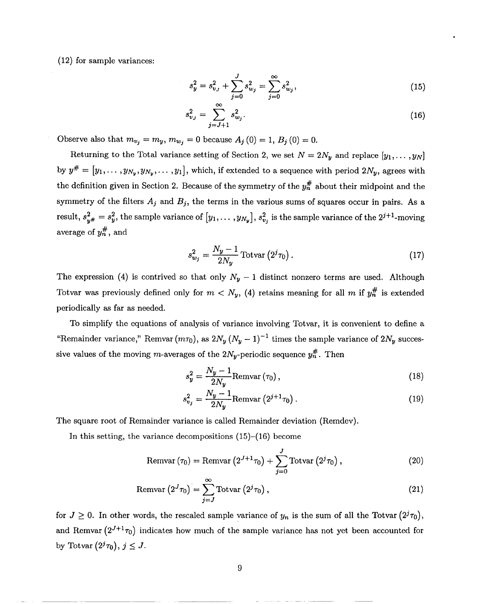(12) for sample variances:

$$
s_y^2 = s_{v_J}^2 + \sum_{j=0}^{J} s_{w_j}^2 = \sum_{j=0}^{\infty} s_{w_j}^2,
$$
\n(15)

●

$$
s_{v_J}^2 = \sum_{j=J+1}^{\infty} s_{w_j}^2.
$$
 (16)

Observe also that  $m_{v_j} = m_y, m_{w_j} = 0$  because  $A_j(0) = 1, B_j(0) = 0$ .

Returning to the Total variance setting of Section 2, we set  $N = 2N_y$  and replace  $[y_1, \ldots, y_N]$ by  $y^{\#} = [y_1, \ldots, y_{N_y}, y_{N_y}, \ldots, y_1]$ , which, if extended to a sequence with period  $2N_y$ , agrees with the definition given in Section 2. Because of the symmetry of the  $y_n^{\#}$  about their midpoint and the symmetry of the filters  $A_j$  and  $B_j$ , the terms in the various sums of squares occur in pairs. As a result,  $s_{y''}^2 = s_y^2$ , the sample variance of  $[y_1, \ldots, y_{N_y}]$ ,  $s_{v_j}^2$  is the sample variance of the  $2^{j+1}$ -moving average of  $y_n^{\#}$ , and

$$
s_{w_j}^2 = \frac{N_y - 1}{2N_y} \operatorname{Totvar}\left(2^j \tau_0\right). \tag{17}
$$

The expression (4) is contrived so that only  $N_y - 1$  distinct nonzero terms are used. Although Totvar was previously defined only for  $m < N_y$ , (4) retains meaning for all m if  $y_n^{\#}$  is extended periodically as far as needed.

To simplify the equations of analysis of variance involving Totvar, it is convenient to define a "Remainder variance," Remvar  $(m\tau_0)$ , as  $2N_y (N_y - 1)^{-1}$  times the sample variance of  $2N_y$  successive values of the moving m-averages of the  $2N_y$ -periodic sequence  $y_n^{\#}$ . Then

$$
s_y^2 = \frac{N_y - 1}{2N_y} \text{Remvar} \left(\tau_0\right),\tag{18}
$$

$$
s_{v_j}^2 = \frac{N_y - 1}{2N_y} \text{Remvar} \left( 2^{j+1} \tau_0 \right). \tag{19}
$$

The square root of Remainder variance is called Remainder deviation (Remdev).

In this setting, the variance decompositions (15)-(16) become

$$
\text{Remvar}\left(\tau_0\right) = \text{Remvar}\left(2^{J+1}\tau_0\right) + \sum_{j=0}^{J} \text{Totvar}\left(2^j\tau_0\right),\tag{20}
$$

$$
\text{Remvar}\left(2^J \tau_0\right) = \sum_{j=J}^{\infty} \text{Totvar}\left(2^j \tau_0\right),\tag{21}
$$

for  $J \geq 0$ . In other words, the rescaled sample variance of  $y_n$  is the sum of all the Totvar  $(2^{j}\tau_0)$ , and Remvar  $(2^{J+1}\tau_0)$  indicates how much of the sample variance has not yet been accounted for by Totvar  $(2<sup>j</sup>\tau_0), j \leq J$ .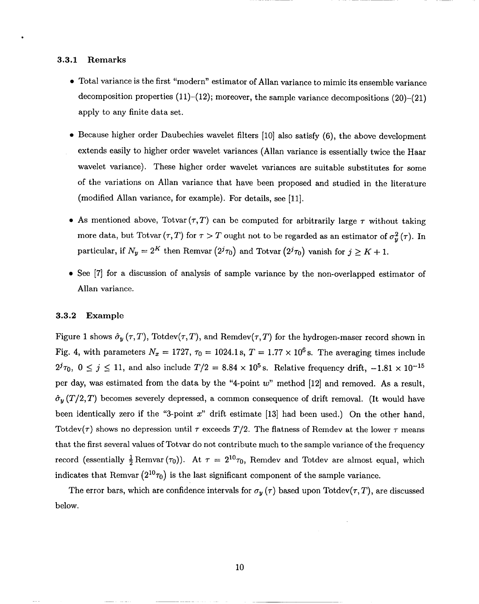#### 3.3.1 Remarks

.

- Total variance is the first "modern" estimator of Allan variance to mimic its ensemble variance decomposition properties  $(11)-(12)$ ; moreover, the sample variance decompositions  $(20)-(21)$ apply to any finite data set.
- Because higher order Daubechies wavelet filters [10] also satisfy (6), the above development extends easily to higher order wavelet variances (Allan variance is essentially twice the Haar wavelet variance). These higher order wavelet variances are suitable substitutes for some of the variations on Allan variance that have been proposed and studied in the literature (modified Allan variance, for example). For details, see [11].
- As mentioned above, Totvar  $(\tau, T)$  can be computed for arbitrarily large  $\tau$  without taking more data, but Totvar  $(\tau, T)$  for  $\tau > T$  ought not to be regarded as an estimator of  $\sigma_y^2(\tau)$ . In particular, if  $N_y = 2^K$  then Remvar  $(2^{j} \tau_0)$  and Totvar  $(2^{j} \tau_0)$  vanish for  $j \geq K + 1$ .
- See [7] for a discussion of analysis of sample variance by the non-overlapped estimator of Allan variance.

#### *3.3.2* Example

Figure 1 shows  $\hat{\sigma}_y(\tau, T)$ , Totdev $(\tau, T)$ , and Remdev $(\tau, T)$  for the hydrogen-maser record shown in Fig. 4, with parameters  $N_x = 1727$ ,  $\tau_0 = 1024.1$  s,  $T = 1.77 \times 10^6$  s. The averaging times include  $2^{j} \tau_0$ ,  $0 \le j \le 11$ , and also include  $T/2 = 8.84 \times 10^5$  s. Relative frequency drift,  $-1.81 \times 10^{-15}$ per day, was estimated from the data by the "4-point  $w$ " method [12] and removed. As a result,  $\hat{\sigma}_{y}(T/2, T)$  becomes severely depressed, a common consequence of drift removal. (It would have been identically zero if the "3-point  $x$ " drift estimate [13] had been used.) On the other hand, Totdev( $\tau$ ) shows no depression until  $\tau$  exceeds  $T/2$ . The flatness of Remdev at the lower  $\tau$  means that the first several values of Totvar do not contribute much to the sample variance of the frequency record (essentially  $\frac{1}{2}$  Remvar  $(\tau_0)$ ). At  $\tau = 2^{10}\tau_0$ , Remdev and Totdev are almost equal, which indicates that Remvar  $(2^{10}\tau_0)$  is the last significant component of the sample variance.

The error bars, which are confidence intervals for  $\sigma_y(\tau)$  based upon Totdev( $\tau$ , T), are discussed below.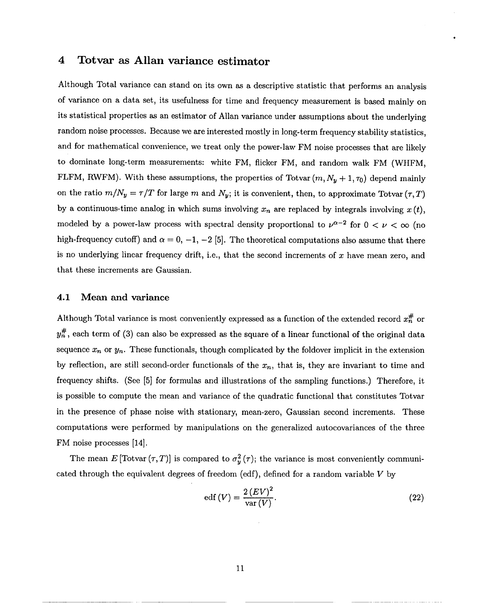### **4 Totvar as Allan variance estimator**

Although Total variance can stand on its own as a descriptive statistic that performs an analysis of variance on a data set, its usefulness for time and frequency measurement is based mainly on its statistical properties as an estimator of Allan variance under assumptions about the underlying random noise processes. Because we are interested mostly in long-term frequency stability statistics, and for mathematical convenience, we trest only the power-law FM noise processes that are likely to dominate long-term measurements: white FM, flicker FM, and random walk FM (WHFM, FLFM, RWFM). With these assumptions, the properties of Totvar  $(m, N_y + 1, \tau_0)$  depend mainly on the ratio  $m/N_y = \tau/T$  for large *m* and  $N_y$ ; it is convenient, then, to approximate Totvar  $(\tau, T)$ by a continuous-time analog in which sums involving  $x_n$  are replaced by integrals involving  $x(t)$ , modeled by a power-law process with spectral density proportional to  $\nu^{\alpha-2}$  for  $0 < \nu < \infty$  (no high-frequency cutoff) and  $\alpha = 0, -1, -2$  [5]. The theoretical computations also assume that there is no underlying linear frequency drift, i.e., that the second increments of  $x$  have mean zero, and that these increments are Gaussian.

#### 4.1 Mean and variance

Although Total variance is most conveniently expressed as a function of the extended record  $x_n^{\#}$  or  $y_n^{\#}$ , each term of (3) can also be expressed as the square of a linear functional of the original data sequence  $x_n$  or  $y_n$ . These functionals, though complicated by the foldover implicit in the extension by reflection, are still second-order functionals of the  $x_n$ , that is, they are invariant to time and frequency shifts. (See [5] for formulas and illustrations of the sampling functions.) Therefore, it is possible to compute the mean and variance of the quadratic functional that constitutes Totvar in the presence of phase noise with stationary, mean-zero, Gaussian second increments. These computations were performed by manipulations on the generalized autocovariances of the three FM noise processes [14].

The mean  $E$  [Totvar  $(\tau, T)$ ] is compared to  $\sigma_u^2(\tau)$ ; the variance is most conveniently communicated through the equivalent degrees of freedom (edf ), defined for a random variable *V* by

$$
edf(V) = \frac{2\left(EV\right)^2}{\text{var}(V)}.\tag{22}
$$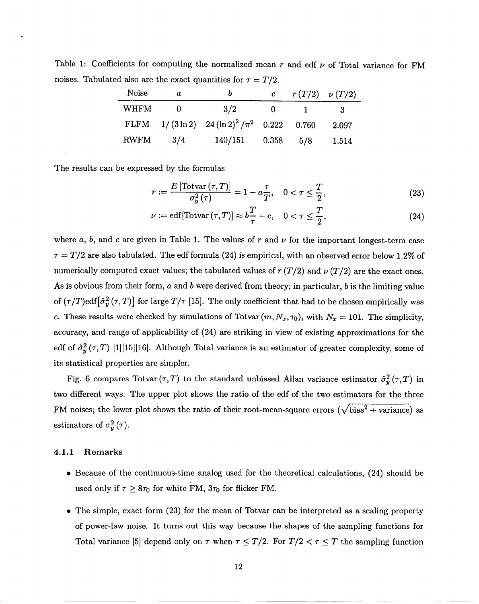Table 1: Coefficients for computing the normalized mean  $r$  and edf  $\nu$  of Total variance for FM noises. Tabulated also are the exact quantities for  $\tau = T/2$ .

| Noise       | a   |                                                       | $\mathbf{c}$  | $r(T/2) \nu(T/2)$ |       |
|-------------|-----|-------------------------------------------------------|---------------|-------------------|-------|
| <b>WHFM</b> |     | 3/2                                                   |               |                   | З.    |
|             |     | FLFM $1/(3 \ln 2)$ $24 (\ln 2)^2 / \pi^2$ 0.222 0.760 |               |                   | 2.097 |
| <b>RWFM</b> | 3/4 | 140/151                                               | $0.358$ $5/8$ |                   | 1.514 |

The results can be expressed by the formulas

$$
r := \frac{E\left[\text{Totvar}\left(\tau, T\right)\right]}{\sigma_y^2\left(\tau\right)} = 1 - a\frac{\tau}{T}, \quad 0 < \tau \le \frac{T}{2},\tag{23}
$$

$$
\nu := \text{edf}[Totvar(\tau, T)] \approx b \frac{T}{\tau} - c, \quad 0 < \tau \le \frac{T}{2},\tag{24}
$$

where  $a, b$ , and c are given in Table 1. The values of  $r$  and  $\nu$  for the important longest-term case  $\tau = T/2$  are also tabulated. The edf formula (24) is empirical, with an observed error below 1.2% of numerically computed exact values; the tabulated values of  $r(T/2)$  and  $\nu(T/2)$  are the exact ones. As is obvious from their form, a and *b* were derived from theory; in particular, *b* is the limiting value of  $(\tau/T)$ edf $\left[\hat{\sigma}_{y}^{2}(\tau,T)\right]$  for large  $T/\tau$  [15]. The only coefficient that had to be chosen empirically was c. These results were checked by simulations of Totvar  $(m, N_x, \tau_0)$ , with  $N_x = 101$ . The simplicity, accuracy, and range of applicability of (24) are striking in view of existing approximations for the edf of  $\hat{\sigma}_y^2(\tau, T)$  [1][15][16]. Although Total variance is an estimator of greater complexity, some of its statistical properties are simpler.

Fig. 6 compares Totvar  $(\tau, T)$  to the standard unbiased Allan variance estimator  $\hat{\sigma}_{y}^{2}(\tau, T)$  in two different ways. The upper plot shows the ratio of the edf of the two estimators for the three FM noises; the lower plot shows the ratio of their root-mean-square errors ( $\sqrt{\text{bias}^2 + \text{variance}}$ ) as estimators of  $\sigma_y^2(\tau)$ .

#### 4.1.1 Remarks

- Because of the continuous-time analog used for the theoretical calculations, (24) should be used only if  $\tau \geq 8\tau_0$  for white FM,  $3\tau_0$  for flicker FM.
- $\bullet$  The simple, exact form (23) for the mean of Totvar can be interpreted as a scaling property of power-law noise. It turns out this way because the shapes of the sampling functions for Total variance [5] depend only on  $\tau$  when  $\tau \leq T/2$ . For  $T/2 < \tau \leq T$  the sampling function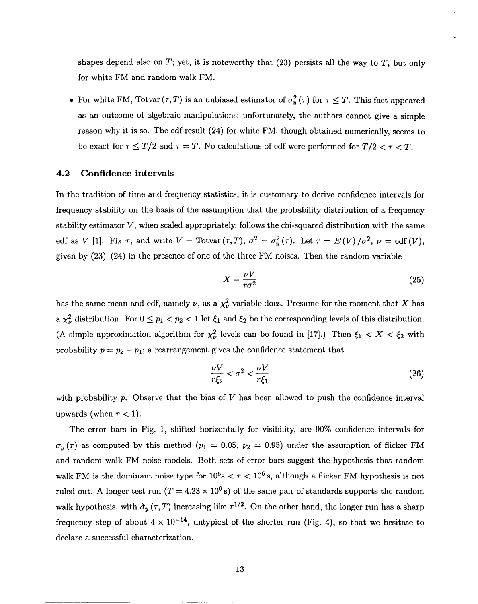shapes depend also on  $T$ ; yet, it is noteworthy that (23) persists all the way to  $T$ , but only for white FM and random walk FM.

• For white FM, Totvar  $(\tau, T)$  is an unbiased estimator of  $\sigma_y^2(\tau)$  for  $\tau \leq T$ . This fact appeared as an outcome of algebraic manipulations; unfortunately, the authors cannot give a simple reason why it is so. The edf result (24) for white FM, though obtained numerically, seems to be exact for  $\tau \leq T/2$  and  $\tau = T$ . No calculations of edf were performed for  $T/2 < \tau < T$ .

#### 4.2 Confidence intervals

In the tradition of time and frequency statistics, it is customary to derive confidence intervals for frequency stability on the basis of the assumption that the probability distribution of a frequency stability estimator *V,* when scaled appropriately, follows the chi-squared distribution with the same edf as *V* [1]. Fix  $\tau$ , and write  $V = \text{Totvar}(\tau, T)$ ,  $\sigma^2 = \sigma_y^2(\tau)$ . Let  $r = E(V)/\sigma^2$ ,  $\nu = \text{edf}(V)$ , given by (23)–(24) in the presence of one of the three FM noises. Then the random variable

$$
X = \frac{\nu V}{r\sigma^2} \tag{25}
$$

.

has the same mean and edf, namely  $\nu$ , as a  $\chi^2_{\nu}$  variable does. Presume for the moment that X has a  $\chi^2_{\nu}$  distribution. For  $0 \leq p_1 < p_2 < 1$  let  $\xi_1$  and  $\xi_2$  be the corresponding levels of this distribution. (A simple approximation algorithm for  $\chi^2_{\nu}$  levels can be found in [17].) Then  $\xi_1 < X < \xi_2$  with probability  $p = p_2 - p_1$ ; a rearrangement gives the confidence statement that

$$
\frac{\nu V}{r\xi_2} < \sigma^2 < \frac{\nu V}{r\xi_1} \tag{26}
$$

with probability p. Observe that the bias of V has been allowed to push the confidence interval upwards (when  $r < 1$ ).

The error bars in Fig. 1, shifted horizontally for visibility, are 90% confidence intervals for  $\sigma_{\nu}(\tau)$  as computed by this method ( $p_1 = 0.05$ ,  $p_2 = 0.95$ ) under the assumption of flicker FM and random walk FM noise models. Both sets of error bars suggest the hypothesis that random walk FM is the dominant noise type for  $10^5$ s  $\lt \tau \lt 10^6$  s, although a flicker FM hypothesis is not ruled out. A longer test run  $(T = 4.23 \times 10^6 s)$  of the same pair of standards supports the random walk hypothesis, with  $\hat{\sigma}_y (\tau, T)$  increasing like  $\tau^{1/2}$ . On the other hand, the longer run has a sharp frequency step of about  $4 \times 10^{-14}$ , untypical of the shorter run (Fig. 4), so that we hesitate to declare a successful characterization.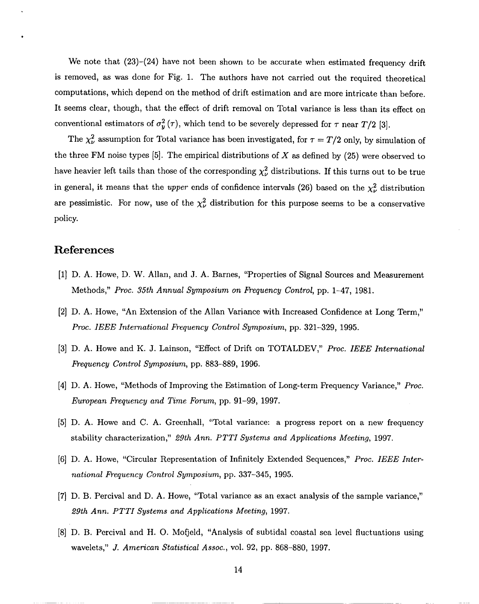We note that  $(23)-(24)$  have not been shown to be accurate when estimated frequency drift is removed, as was done for Fig. 1. The authors have not carried out the required theoretical computations, which depend on the method of drift estimation and are more intricate than before. It seems clear, though, that the effect of drift removal on Total variance is less than its effect on conventional estimators of  $\sigma_y^2(\tau)$ , which tend to be severely depressed for  $\tau$  near  $T/2$  [3].

The  $\chi^2_{\nu}$  assumption for Total variance has been investigated, for  $\tau = T/2$  only, by simulation of the three FM noise types  $[5]$ . The empirical distributions of X as defined by  $(25)$  were observed to have heavier left tails than those of the corresponding  $\chi^2_{\nu}$  distributions. If this turns out to be true in general, it means that the *upper* ends of confidence intervals (26) based on the  $\chi^2_{\nu}$  distribution are pessimistic. For now, use of the  $\chi^2_{\nu}$  distribution for this purpose seems to be a conservative policy.

## **References**

- [1] D. A. Howe, D. W. Allan, and J. A. Barnes, "Properties of Signal Sources and Measurement Methods," *Proc. 35th Annual Sgmposium on Frequency Control,* pp. 1-47, 1981.
- [2] D. A. Howe, "An Extension of the Allan Variance with Increased Confidence at Long Term," *Proc. IEEE International Frequency Control Symposium,* pp. 321-329, 1995.
- [3] D. A. Howe and K. J. Lainson, "Effect of Drift on TOTALDEV," Proc. *IEEE International Frequency Control Symposium,* pp. 883-889, 1996.
- [4] D. A. Howe, "Methods of Improving the Estimation of Long-term Frequency Variance," *Proc. European Frequency and Time Forum,* pp. 91-99, 1997.
- [5] D. A. Howe and C. A. Greenhall, "Total variance: a progress report on a new frequency stability characterization," *29th Ann. PTTI Systems and Applications Meeting, 1997.*
- [6] D. A. Howe, "Circular Representation of Infinitely Extended Sequences," *Proc. IEEE* Inter*national Frequency Control* Symposium, pp. 337–345, 1995.
- [7]  $\Sigma$  B. Percival and  $\Sigma$ . A. Howe, "Total variance as an exact analysis of the sample variance," *29th Ann. PTTI Systems and Applications Meeting, 1997.*
- [8] D, B, Percival and H. O. Mofjeld, "Analysis of subtidal coastal sea level fluctuations using wavelets," *J. American Statistical Assoc., vol. 92,* pp. 868-880, 1997.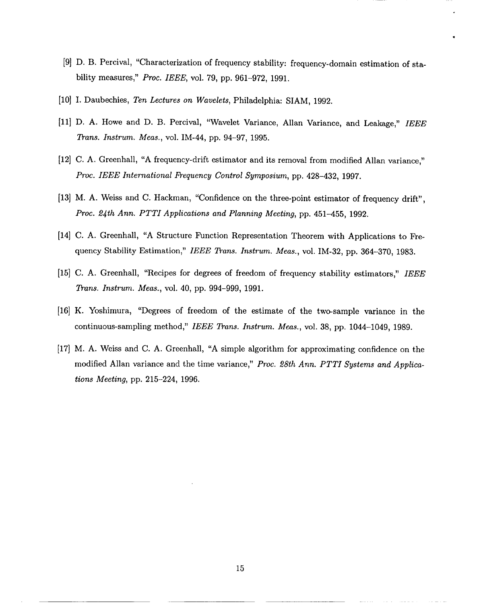- [9] D. B. Percival, "Characterization of frequency stability: frequency-domain estimation of stability measures," PmC. *IEEE, vol. 79, pp. 961-972, 1991.*
- [10] I. Daubechies, *Ten Lectures on Wavelets,* Philadelphia: SIAM, 1992.
- [11] D, A. Howe and D. B. Percival, "Wavelet Variance, Allan Variance, and Leakage," *IEEE Trans. Instrum. Meas.,* vol. IM-44, pp. 94-97, 1995.
- [12] C. A. Greenhall, "A frequency-drift estimator and its removal from modified Allan variance," *Proc. IEEE International Frequency* Control Symposium, pp. 428-432, 1997.
- [13] M. A. Weiss and C. Hackman, "Confidence on the three-point estimator of frequency drift", *Proc. 2~th Ann. PTTI Applications and Planning Meeting,* pp. 451-455, 1992.
- [14] C. A. Greenhall, "A Structure Function Representation Theorem with Applications to Frequency Stability Estimation," *IEEE Trans. Instrum. Meas.,* vol. IM-32, pp. 364–370, 1983.
- [15] C. A. Greenhall, "Recipes for degrees of freedom of frequency stability estimators," *IEEE* Trans. *Instrum. Meas.,* vol. 40, pp. 994-999, 1991.
- [16] K. Yoshimura, "Degrees of freedom of the estimate of the two-sample variance in the continuous-sampling method," *IEEE Trans. Instrum. Meas.,* vol. 38, pp. 1044–1049, 1989.
- [17] M. A. Weiss and C. A. Greenhall, "A simple algorithm for approximating confidence on the modified Allan variance and the time variance," *Proc. 28th Ann. PTTI Systems and Applications Meeting,* pp. 215-224, 1996.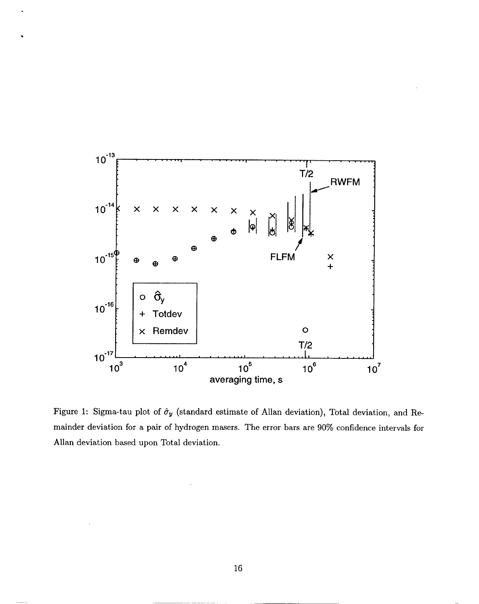

Figure 1: Sigma-tau plot of  $\hat{\sigma}_y$  (standard estimate of Allan deviation), Total deviation, and Remainder deviation for a pair of hydrogen masers. The error bars are 90% confidence intervals for Allan deviation based upon Total deviation.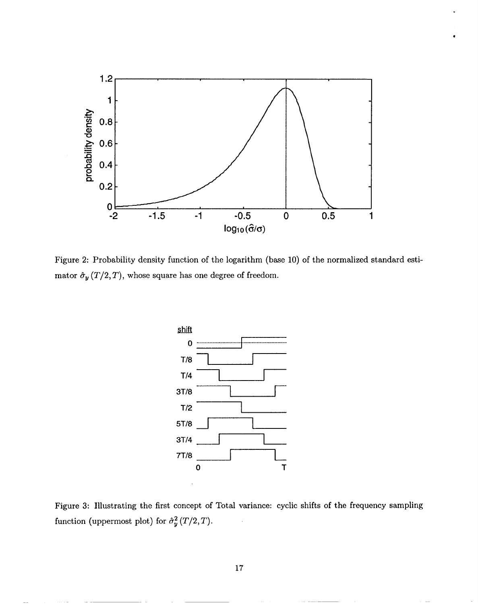

Figure 2: Probability density function of the logarithm (base 10) of the normalized standard estimator  $\hat{\sigma}_y\left(T/2, T\right),$  whose square has one degree of freedom.



Figure 3: Illustrating the first concept of Total variance: cyclic shifts of the frequency sampling function (uppermost plot) for  $\hat{\sigma}_y^2(T/2, T)$ .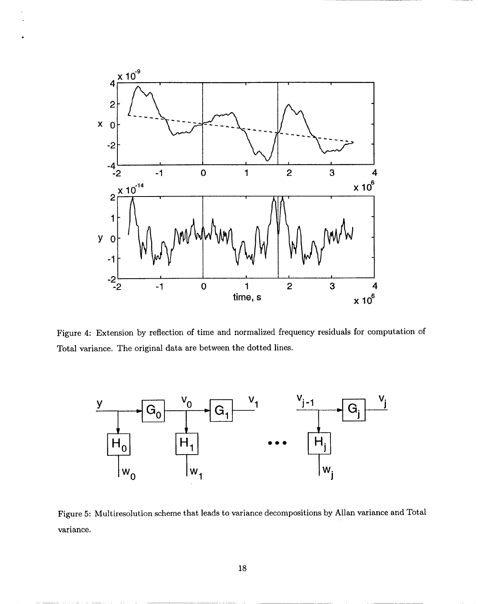

.

Figure 4: Extension by reflection of time and normalized frequency residuals for computation of Total variance. The original data are between the dotted lines.



Figure 5: Multiresolution scheme that leads to variance decompositions by Allan variance and Total variance.